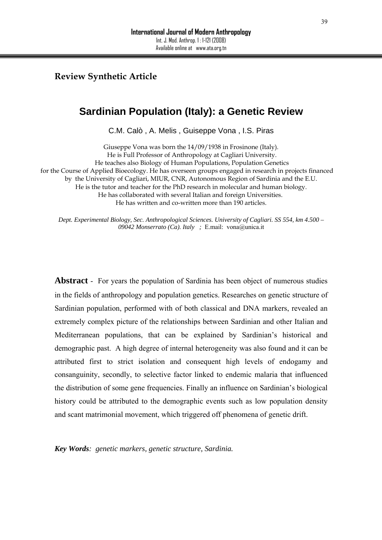# **Review Synthetic Article**

# **Sardinian Population (Italy): a Genetic Review**

C.M. Calò , A. Melis , Guiseppe Vona , I.S. Piras

Giuseppe Vona was born the 14/09/1938 in Frosinone (Italy). He is Full Professor of Anthropology at Cagliari University. He teaches also Biology of Human Populations, Population Genetics for the Course of Applied Bioecology. He has overseen groups engaged in research in projects financed by the University of Cagliari, MIUR, CNR, Autonomous Region of Sardinia and the E.U. He is the tutor and teacher for the PhD research in molecular and human biology. He has collaborated with several Italian and foreign Universities. He has written and co-written more than 190 articles.

*Dept. Experimental Biology, Sec. Anthropological Sciences. University of Cagliari. SS 554, km 4.500 – 09042 Monserrato (Ca). Italy ;* E.mail: vona@unica.it

**Abstract** - For years the population of Sardinia has been object of numerous studies in the fields of anthropology and population genetics. Researches on genetic structure of Sardinian population, performed with of both classical and DNA markers, revealed an extremely complex picture of the relationships between Sardinian and other Italian and Mediterranean populations, that can be explained by Sardinian's historical and demographic past. A high degree of internal heterogeneity was also found and it can be attributed first to strict isolation and consequent high levels of endogamy and consanguinity, secondly, to selective factor linked to endemic malaria that influenced the distribution of some gene frequencies. Finally an influence on Sardinian's biological history could be attributed to the demographic events such as low population density and scant matrimonial movement, which triggered off phenomena of genetic drift.

*Key Words: genetic markers, genetic structure, Sardinia.*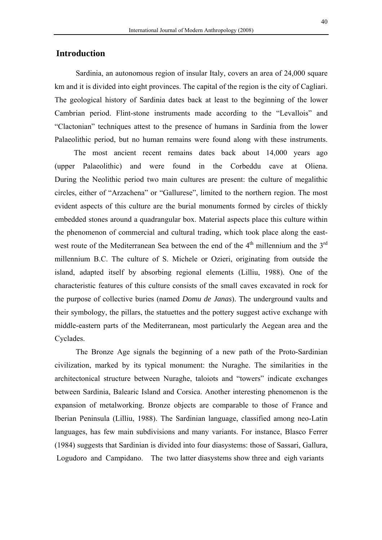## **Introduction**

 Sardinia, an autonomous region of insular Italy, covers an area of 24,000 square km and it is divided into eight provinces. The capital of the region is the city of Cagliari. The geological history of Sardinia dates back at least to the beginning of the lower Cambrian period. Flint-stone instruments made according to the "Levallois" and "Clactonian" techniques attest to the presence of humans in Sardinia from the lower Palaeolithic period, but no human remains were found along with these instruments.

 The most ancient recent remains dates back about 14,000 years ago (upper Palaeolithic) and were found in the Corbeddu cave at Oliena. During the Neolithic period two main cultures are present: the culture of megalithic circles, either of "Arzachena" or "Gallurese", limited to the northern region. The most evident aspects of this culture are the burial monuments formed by circles of thickly embedded stones around a quadrangular box. Material aspects place this culture within the phenomenon of commercial and cultural trading, which took place along the eastwest route of the Mediterranean Sea between the end of the  $4<sup>th</sup>$  millennium and the  $3<sup>rd</sup>$ millennium B.C. The culture of S. Michele or Ozieri, originating from outside the island, adapted itself by absorbing regional elements (Lilliu, 1988). One of the characteristic features of this culture consists of the small caves excavated in rock for the purpose of collective buries (named *Domu de Janas*). The underground vaults and their symbology, the pillars, the statuettes and the pottery suggest active exchange with middle-eastern parts of the Mediterranean, most particularly the Aegean area and the Cyclades.

 The Bronze Age signals the beginning of a new path of the Proto-Sardinian civilization, marked by its typical monument: the Nuraghe. The similarities in the architectonical structure between Nuraghe, taloiots and "towers" indicate exchanges between Sardinia, Balearic Island and Corsica. Another interesting phenomenon is the expansion of metalworking. Bronze objects are comparable to those of France and Iberian Peninsula (Lilliu, 1988). The Sardinian language, classified among neo-Latin languages, has few main subdivisions and many variants. For instance, Blasco Ferrer (1984) suggests that Sardinian is divided into four diasystems: those of Sassari, Gallura, Logudoro and Campidano. The two latter diasystems show three and eigh variants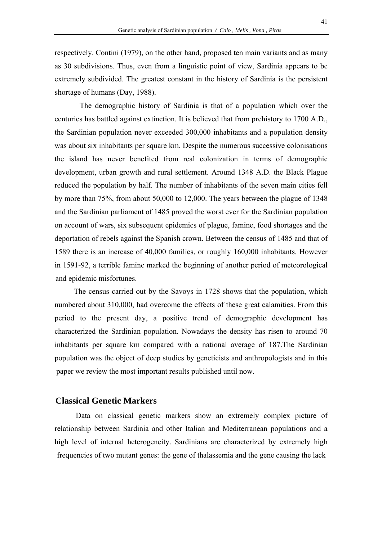respectively. Contini (1979), on the other hand, proposed ten main variants and as many as 30 subdivisions. Thus, even from a linguistic point of view, Sardinia appears to be extremely subdivided. The greatest constant in the history of Sardinia is the persistent shortage of humans (Day, 1988).

 The demographic history of Sardinia is that of a population which over the centuries has battled against extinction. It is believed that from prehistory to 1700 A.D., the Sardinian population never exceeded 300,000 inhabitants and a population density was about six inhabitants per square km. Despite the numerous successive colonisations the island has never benefited from real colonization in terms of demographic development, urban growth and rural settlement. Around 1348 A.D. the Black Plague reduced the population by half. The number of inhabitants of the seven main cities fell by more than 75%, from about 50,000 to 12,000. The years between the plague of 1348 and the Sardinian parliament of 1485 proved the worst ever for the Sardinian population on account of wars, six subsequent epidemics of plague, famine, food shortages and the deportation of rebels against the Spanish crown. Between the census of 1485 and that of 1589 there is an increase of 40,000 families, or roughly 160,000 inhabitants. However in 1591-92, a terrible famine marked the beginning of another period of meteorological and epidemic misfortunes.

 The census carried out by the Savoys in 1728 shows that the population, which numbered about 310,000, had overcome the effects of these great calamities. From this period to the present day, a positive trend of demographic development has characterized the Sardinian population. Nowadays the density has risen to around 70 inhabitants per square km compared with a national average of 187.The Sardinian population was the object of deep studies by geneticists and anthropologists and in this paper we review the most important results published until now.

## **Classical Genetic Markers**

 Data on classical genetic markers show an extremely complex picture of relationship between Sardinia and other Italian and Mediterranean populations and a high level of internal heterogeneity. Sardinians are characterized by extremely high frequencies of two mutant genes: the gene of thalassemia and the gene causing the lack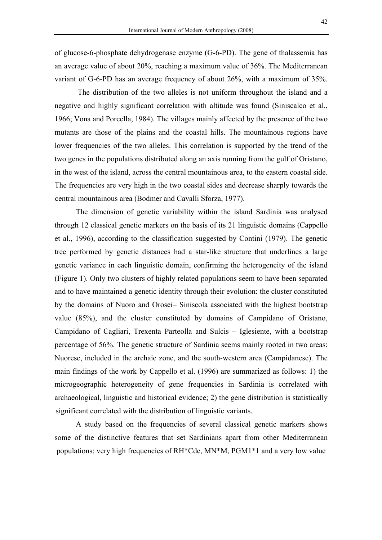of glucose-6-phosphate dehydrogenase enzyme (G-6-PD). The gene of thalassemia has an average value of about 20%, reaching a maximum value of 36%. The Mediterranean variant of G-6-PD has an average frequency of about 26%, with a maximum of 35%.

 The distribution of the two alleles is not uniform throughout the island and a negative and highly significant correlation with altitude was found (Siniscalco et al., 1966; Vona and Porcella, 1984). The villages mainly affected by the presence of the two mutants are those of the plains and the coastal hills. The mountainous regions have lower frequencies of the two alleles. This correlation is supported by the trend of the two genes in the populations distributed along an axis running from the gulf of Oristano, in the west of the island, across the central mountainous area, to the eastern coastal side. The frequencies are very high in the two coastal sides and decrease sharply towards the central mountainous area (Bodmer and Cavalli Sforza, 1977).

 The dimension of genetic variability within the island Sardinia was analysed through 12 classical genetic markers on the basis of its 21 linguistic domains (Cappello et al., 1996), according to the classification suggested by Contini (1979). The genetic tree performed by genetic distances had a star-like structure that underlines a large genetic variance in each linguistic domain, confirming the heterogeneity of the island (Figure 1). Only two clusters of highly related populations seem to have been separated and to have maintained a genetic identity through their evolution: the cluster constituted by the domains of Nuoro and Orosei– Siniscola associated with the highest bootstrap value (85%), and the cluster constituted by domains of Campidano of Oristano, Campidano of Cagliari, Trexenta Parteolla and Sulcis – Iglesiente, with a bootstrap percentage of 56%. The genetic structure of Sardinia seems mainly rooted in two areas: Nuorese, included in the archaic zone, and the south-western area (Campidanese). The main findings of the work by Cappello et al. (1996) are summarized as follows: 1) the microgeographic heterogeneity of gene frequencies in Sardinia is correlated with archaeological, linguistic and historical evidence; 2) the gene distribution is statistically significant correlated with the distribution of linguistic variants.

 A study based on the frequencies of several classical genetic markers shows some of the distinctive features that set Sardinians apart from other Mediterranean populations: very high frequencies of RH\*Cde, MN\*M, PGM1\*1 and a very low value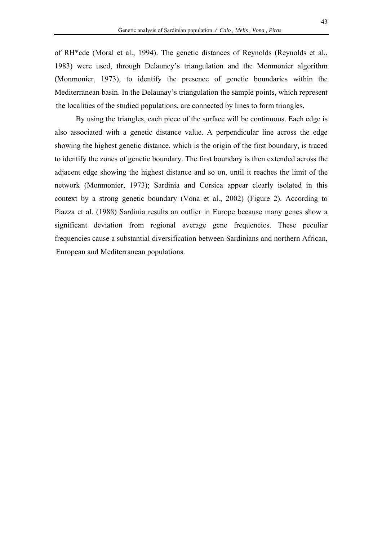of RH\*cde (Moral et al., 1994). The genetic distances of Reynolds (Reynolds et al., 1983) were used, through Delauney's triangulation and the Monmonier algorithm (Monmonier, 1973), to identify the presence of genetic boundaries within the Mediterranean basin. In the Delaunay's triangulation the sample points, which represent the localities of the studied populations, are connected by lines to form triangles.

 By using the triangles, each piece of the surface will be continuous. Each edge is also associated with a genetic distance value. A perpendicular line across the edge showing the highest genetic distance, which is the origin of the first boundary, is traced to identify the zones of genetic boundary. The first boundary is then extended across the adjacent edge showing the highest distance and so on, until it reaches the limit of the network (Monmonier, 1973); Sardinia and Corsica appear clearly isolated in this context by a strong genetic boundary (Vona et al., 2002) (Figure 2). According to Piazza et al. (1988) Sardinia results an outlier in Europe because many genes show a significant deviation from regional average gene frequencies. These peculiar frequencies cause a substantial diversification between Sardinians and northern African, European and Mediterranean populations.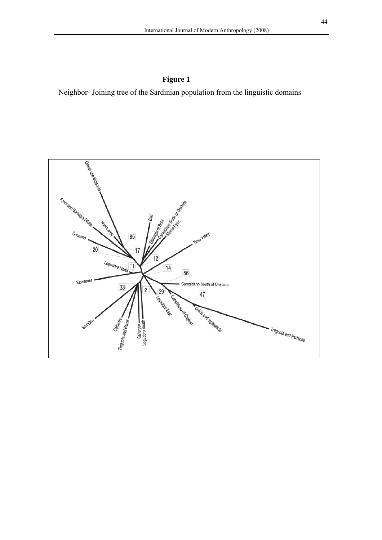# **Figure 1**

Neighbor- Joining tree of the Sardinian population from the linguistic domains

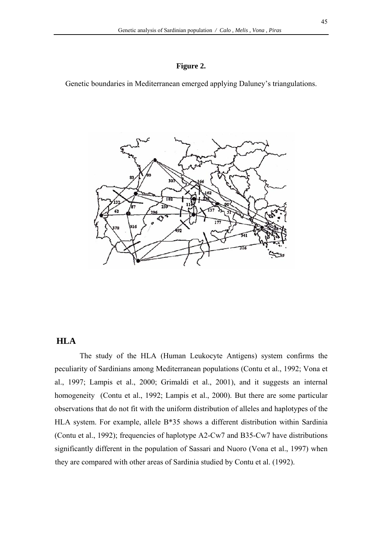#### **Figure 2.**

Genetic boundaries in Mediterranean emerged applying Daluney's triangulations.



# **HLA**

 The study of the HLA (Human Leukocyte Antigens) system confirms the peculiarity of Sardinians among Mediterranean populations (Contu et al., 1992; Vona et al., 1997; Lampis et al., 2000; Grimaldi et al., 2001), and it suggests an internal homogeneity (Contu et al., 1992; Lampis et al., 2000). But there are some particular observations that do not fit with the uniform distribution of alleles and haplotypes of the HLA system. For example, allele B\*35 shows a different distribution within Sardinia (Contu et al., 1992); frequencies of haplotype A2-Cw7 and B35-Cw7 have distributions significantly different in the population of Sassari and Nuoro (Vona et al., 1997) when they are compared with other areas of Sardinia studied by Contu et al. (1992).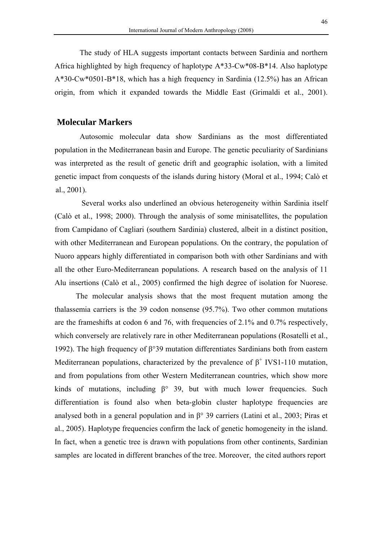The study of HLA suggests important contacts between Sardinia and northern Africa highlighted by high frequency of haplotype A\*33-Cw\*08-B\*14. Also haplotype A\*30-Cw\*0501-B\*18, which has a high frequency in Sardinia (12.5%) has an African origin, from which it expanded towards the Middle East (Grimaldi et al., 2001).

### **Molecular Markers**

 Autosomic molecular data show Sardinians as the most differentiated population in the Mediterranean basin and Europe. The genetic peculiarity of Sardinians was interpreted as the result of genetic drift and geographic isolation, with a limited genetic impact from conquests of the islands during history (Moral et al., 1994; Calò et al., 2001).

 Several works also underlined an obvious heterogeneity within Sardinia itself (Calò et al., 1998; 2000). Through the analysis of some minisatellites, the population from Campidano of Cagliari (southern Sardinia) clustered, albeit in a distinct position, with other Mediterranean and European populations. On the contrary, the population of Nuoro appears highly differentiated in comparison both with other Sardinians and with all the other Euro-Mediterranean populations. A research based on the analysis of 11 Alu insertions (Calò et al., 2005) confirmed the high degree of isolation for Nuorese.

 The molecular analysis shows that the most frequent mutation among the thalassemia carriers is the 39 codon nonsense (95.7%). Two other common mutations are the frameshifts at codon 6 and 76, with frequencies of 2.1% and 0.7% respectively, which conversely are relatively rare in other Mediterranean populations (Rosatelli et al., 1992). The high frequency of β°39 mutation differentiates Sardinians both from eastern Mediterranean populations, characterized by the prevalence of  $\beta^+$  IVS1-110 mutation, and from populations from other Western Mediterranean countries, which show more kinds of mutations, including  $\beta^{\circ}$  39, but with much lower frequencies. Such differentiation is found also when beta-globin cluster haplotype frequencies are analysed both in a general population and in  $\beta^{\circ}$  39 carriers (Latini et al., 2003; Piras et al., 2005). Haplotype frequencies confirm the lack of genetic homogeneity in the island. In fact, when a genetic tree is drawn with populations from other continents, Sardinian samples are located in different branches of the tree. Moreover, the cited authors report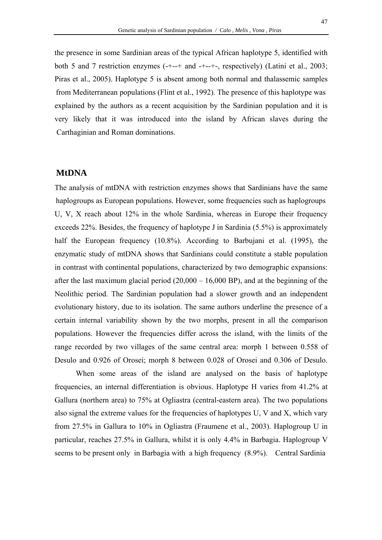the presence in some Sardinian areas of the typical African haplotype 5, identified with both 5 and 7 restriction enzymes (-+--+ and -+--+-, respectively) (Latini et al., 2003; Piras et al., 2005). Haplotype 5 is absent among both normal and thalassemic samples from Mediterranean populations (Flint et al., 1992). The presence of this haplotype was explained by the authors as a recent acquisition by the Sardinian population and it is very likely that it was introduced into the island by African slaves during the Carthaginian and Roman dominations.

## **MtDNA**

The analysis of mtDNA with restriction enzymes shows that Sardinians have the same haplogroups as European populations. However, some frequencies such as haplogroups U, V, X reach about 12% in the whole Sardinia, whereas in Europe their frequency exceeds 22%. Besides, the frequency of haplotype J in Sardinia (5.5%) is approximately half the European frequency (10.8%). According to Barbujani et al. (1995), the enzymatic study of mtDNA shows that Sardinians could constitute a stable population in contrast with continental populations, characterized by two demographic expansions: after the last maximum glacial period  $(20,000 - 16,000$  BP), and at the beginning of the Neolithic period. The Sardinian population had a slower growth and an independent evolutionary history, due to its isolation. The same authors underline the presence of a certain internal variability shown by the two morphs, present in all the comparison populations. However the frequencies differ across the island, with the limits of the range recorded by two villages of the same central area: morph 1 between 0.558 of Desulo and 0.926 of Orosei; morph 8 between 0.028 of Orosei and 0.306 of Desulo.

 When some areas of the island are analysed on the basis of haplotype frequencies, an internal differentiation is obvious. Haplotype H varies from 41.2% at Gallura (northern area) to 75% at Ogliastra (central-eastern area). The two populations also signal the extreme values for the frequencies of haplotypes U, V and X, which vary from 27.5% in Gallura to 10% in Ogliastra (Fraumene et al., 2003). Haplogroup U in particular, reaches 27.5% in Gallura, whilst it is only 4.4% in Barbagia. Haplogroup V seems to be present only in Barbagia with a high frequency (8.9%). Central Sardinia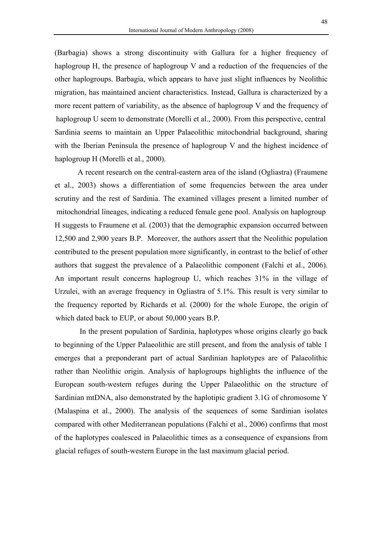(Barbagia) shows a strong discontinuity with Gallura for a higher frequency of haplogroup H, the presence of haplogroup V and a reduction of the frequencies of the other haplogroups. Barbagia, which appears to have just slight influences by Neolithic migration, has maintained ancient characteristics. Instead, Gallura is characterized by a more recent pattern of variability, as the absence of haplogroup V and the frequency of haplogroup U seem to demonstrate (Morelli et al., 2000). From this perspective, central Sardinia seems to maintain an Upper Palaeolithic mitochondrial background, sharing with the Iberian Peninsula the presence of haplogroup V and the highest incidence of haplogroup H (Morelli et al., 2000).

 A recent research on the central-eastern area of the island (Ogliastra) (Fraumene et al., 2003) shows a differentiation of some frequencies between the area under scrutiny and the rest of Sardinia. The examined villages present a limited number of mitochondrial lineages, indicating a reduced female gene pool. Analysis on haplogroup H suggests to Fraumene et al. (2003) that the demographic expansion occurred between 12,500 and 2,900 years B.P. Moreover, the authors assert that the Neolithic population contributed to the present population more significantly, in contrast to the belief of other authors that suggest the prevalence of a Palaeolithic component (Falchi et al., 2006). An important result concerns haplogroup U, which reaches 31% in the village of Urzulei, with an average frequency in Ogliastra of 5.1%. This result is very similar to the frequency reported by Richards et al. (2000) for the whole Europe, the origin of which dated back to EUP, or about 50,000 years B.P.

 In the present population of Sardinia, haplotypes whose origins clearly go back to beginning of the Upper Palaeolithic are still present, and from the analysis of table 1 emerges that a preponderant part of actual Sardinian haplotypes are of Palaeolithic rather than Neolithic origin. Analysis of haplogroups highlights the influence of the European south-western refuges during the Upper Palaeolithic on the structure of Sardinian mtDNA, also demonstrated by the haplotipic gradient 3.1G of chromosome Y (Malaspina et al., 2000). The analysis of the sequences of some Sardinian isolates compared with other Mediterranean populations (Falchi et al., 2006) confirms that most of the haplotypes coalesced in Palaeolithic times as a consequence of expansions from glacial refuges of south-western Europe in the last maximum glacial period.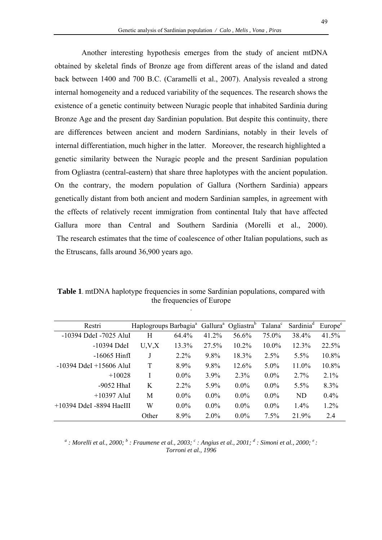Another interesting hypothesis emerges from the study of ancient mtDNA obtained by skeletal finds of Bronze age from different areas of the island and dated back between 1400 and 700 B.C. (Caramelli et al., 2007). Analysis revealed a strong internal homogeneity and a reduced variability of the sequences. The research shows the existence of a genetic continuity between Nuragic people that inhabited Sardinia during Bronze Age and the present day Sardinian population. But despite this continuity, there are differences between ancient and modern Sardinians, notably in their levels of internal differentiation, much higher in the latter. Moreover, the research highlighted a genetic similarity between the Nuragic people and the present Sardinian population from Ogliastra (central-eastern) that share three haplotypes with the ancient population. On the contrary, the modern population of Gallura (Northern Sardinia) appears genetically distant from both ancient and modern Sardinian samples, in agreement with the effects of relatively recent immigration from continental Italy that have affected Gallura more than Central and Southern Sardinia (Morelli et al., 2000). The research estimates that the time of coalescence of other Italian populations, such as the Etruscans, falls around 36,900 years ago.

**Table 1**. mtDNA haplotype frequencies in some Sardinian populations, compared with the frequencies of Europe .

| Restri                      | Haplogroups Barbagia <sup>ª</sup> Gallura <sup>ª</sup> Ogliastra <sup>b</sup> |         |          |         | Talana <sup>c</sup> | Sardinia <sup>d</sup> | Europe <sup>e</sup> |
|-----------------------------|-------------------------------------------------------------------------------|---------|----------|---------|---------------------|-----------------------|---------------------|
| -10394 DdeI -7025 AluI      | Н                                                                             | 64.4%   | $41.2\%$ | 56.6%   | 75.0%               | 38.4%                 | 41.5%               |
| -10394 DdeI                 | U, V, X                                                                       | 13.3%   | 27.5%    | 10.2%   | 10.0%               | 12.3%                 | 22.5%               |
| $-16065$ HinfI              |                                                                               | $2.2\%$ | 9.8%     | 18.3%   | 2.5%                | 5.5%                  | 10.8%               |
| $-10394$ DdeI $+15606$ AluI | T                                                                             | 8.9%    | 9.8%     | 12.6%   | $5.0\%$             | 11.0%                 | 10.8%               |
| $+10028$                    |                                                                               | $0.0\%$ | $3.9\%$  | 2.3%    | $0.0\%$             | 2.7%                  | $2.1\%$             |
| $-9052$ HhaI                | K                                                                             | $2.2\%$ | 5.9%     | $0.0\%$ | $0.0\%$             | 5.5%                  | 8.3%                |
| $+10397$ AluI               | M                                                                             | $0.0\%$ | $0.0\%$  | $0.0\%$ | $0.0\%$             | N <sub>D</sub>        | $0.4\%$             |
| $+10394$ DdeI -8894 HaeIII  | W                                                                             | $0.0\%$ | $0.0\%$  | $0.0\%$ | $0.0\%$             | $1.4\%$               | $1.2\%$             |
|                             | Other                                                                         | 8.9%    | $2.0\%$  | $0.0\%$ | 7.5%                | 21.9%                 | 2.4                 |

*a* : Morelli et al., 2000;  $\frac{b}{c}$  : Fraumene et al., 2003;  $\frac{c}{c}$  : Angius et al., 2001;  $\frac{d}{c}$  : Simoni et al., 2000;  $\frac{e}{c}$  : *Torroni et al., 1996*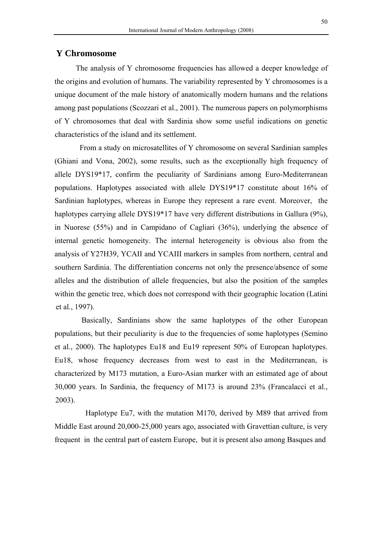## **Y Chromosome**

 The analysis of Y chromosome frequencies has allowed a deeper knowledge of the origins and evolution of humans. The variability represented by Y chromosomes is a unique document of the male history of anatomically modern humans and the relations among past populations (Scozzari et al., 2001). The numerous papers on polymorphisms of Y chromosomes that deal with Sardinia show some useful indications on genetic characteristics of the island and its settlement.

 From a study on microsatellites of Y chromosome on several Sardinian samples (Ghiani and Vona, 2002), some results, such as the exceptionally high frequency of allele DYS19\*17, confirm the peculiarity of Sardinians among Euro-Mediterranean populations. Haplotypes associated with allele DYS19\*17 constitute about 16% of Sardinian haplotypes, whereas in Europe they represent a rare event. Moreover, the haplotypes carrying allele DYS19\*17 have very different distributions in Gallura (9%), in Nuorese (55%) and in Campidano of Cagliari (36%), underlying the absence of internal genetic homogeneity. The internal heterogeneity is obvious also from the analysis of Y27H39, YCAII and YCAIII markers in samples from northern, central and southern Sardinia. The differentiation concerns not only the presence/absence of some alleles and the distribution of allele frequencies, but also the position of the samples within the genetic tree, which does not correspond with their geographic location (Latini et al., 1997).

 Basically, Sardinians show the same haplotypes of the other European populations, but their peculiarity is due to the frequencies of some haplotypes (Semino et al., 2000). The haplotypes Eu18 and Eu19 represent 50% of European haplotypes. Eu18, whose frequency decreases from west to east in the Mediterranean, is characterized by M173 mutation, a Euro-Asian marker with an estimated age of about 30,000 years. In Sardinia, the frequency of M173 is around 23% (Francalacci et al., 2003).

 Haplotype Eu7, with the mutation M170, derived by M89 that arrived from Middle East around 20,000-25,000 years ago, associated with Gravettian culture, is very frequent in the central part of eastern Europe, but it is present also among Basques and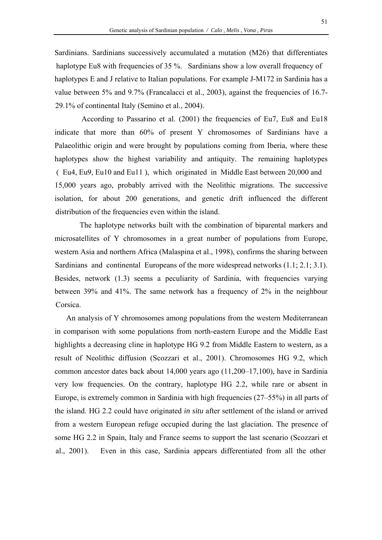Sardinians. Sardinians successively accumulated a mutation (M26) that differentiates haplotype Eu8 with frequencies of 35 %. Sardinians show a low overall frequency of haplotypes E and J relative to Italian populations. For example J-M172 in Sardinia has a value between 5% and 9.7% (Francalacci et al., 2003), against the frequencies of 16.7- 29.1% of continental Italy (Semino et al., 2004).

 According to Passarino et al. (2001) the frequencies of Eu7, Eu8 and Eu18 indicate that more than 60% of present Y chromosomes of Sardinians have a Palaeolithic origin and were brought by populations coming from Iberia, where these haplotypes show the highest variability and antiquity. The remaining haplotypes ( Eu4, Eu9, Eu10 and Eu11 ), which originated in Middle East between 20,000 and 15,000 years ago, probably arrived with the Neolithic migrations. The successive isolation, for about 200 generations, and genetic drift influenced the different distribution of the frequencies even within the island.

 The haplotype networks built with the combination of biparental markers and microsatellites of Y chromosomes in a great number of populations from Europe, western Asia and northern Africa (Malaspina et al., 1998), confirms the sharing between Sardinians and continental Europeans of the more widespread networks (1.1; 2.1; 3.1). Besides, network (1.3) seems a peculiarity of Sardinia, with frequencies varying between 39% and 41%. The same network has a frequency of 2% in the neighbour Corsica.

 An analysis of Y chromosomes among populations from the western Mediterranean in comparison with some populations from north-eastern Europe and the Middle East highlights a decreasing cline in haplotype HG 9.2 from Middle Eastern to western, as a result of Neolithic diffusion (Scozzari et al., 2001). Chromosomes HG 9.2, which common ancestor dates back about 14,000 years ago (11,200–17,100), have in Sardinia very low frequencies. On the contrary, haplotype HG 2.2, while rare or absent in Europe, is extremely common in Sardinia with high frequencies (27–55%) in all parts of the island. HG 2.2 could have originated *in situ* after settlement of the island or arrived from a western European refuge occupied during the last glaciation. The presence of some HG 2.2 in Spain, Italy and France seems to support the last scenario (Scozzari et al., 2001). Even in this case, Sardinia appears differentiated from all the other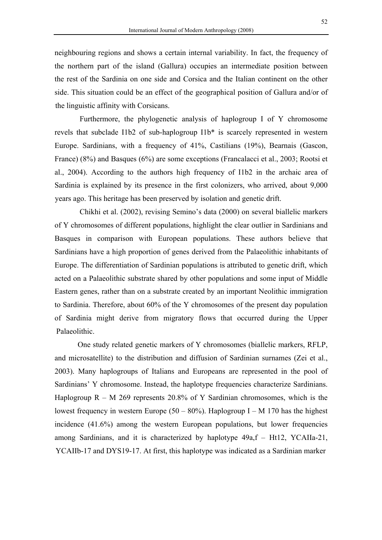neighbouring regions and shows a certain internal variability. In fact, the frequency of the northern part of the island (Gallura) occupies an intermediate position between the rest of the Sardinia on one side and Corsica and the Italian continent on the other side. This situation could be an effect of the geographical position of Gallura and/or of the linguistic affinity with Corsicans.

 Furthermore, the phylogenetic analysis of haplogroup I of Y chromosome revels that subclade I1b2 of sub-haplogroup I1b\* is scarcely represented in western Europe. Sardinians, with a frequency of 41%, Castilians (19%), Bearnais (Gascon, France) (8%) and Basques (6%) are some exceptions (Francalacci et al., 2003; Rootsi et al., 2004). According to the authors high frequency of I1b2 in the archaic area of Sardinia is explained by its presence in the first colonizers, who arrived, about 9,000 years ago. This heritage has been preserved by isolation and genetic drift.

 Chikhi et al. (2002), revising Semino's data (2000) on several biallelic markers of Y chromosomes of different populations, highlight the clear outlier in Sardinians and Basques in comparison with European populations. These authors believe that Sardinians have a high proportion of genes derived from the Palaeolithic inhabitants of Europe. The differentiation of Sardinian populations is attributed to genetic drift, which acted on a Palaeolithic substrate shared by other populations and some input of Middle Eastern genes, rather than on a substrate created by an important Neolithic immigration to Sardinia. Therefore, about 60% of the Y chromosomes of the present day population of Sardinia might derive from migratory flows that occurred during the Upper Palaeolithic.

 One study related genetic markers of Y chromosomes (biallelic markers, RFLP, and microsatellite) to the distribution and diffusion of Sardinian surnames (Zei et al., 2003). Many haplogroups of Italians and Europeans are represented in the pool of Sardinians' Y chromosome. Instead, the haplotype frequencies characterize Sardinians. Haplogroup  $R - M$  269 represents 20.8% of Y Sardinian chromosomes, which is the lowest frequency in western Europe  $(50 - 80\%)$ . Haplogroup I – M 170 has the highest incidence (41.6%) among the western European populations, but lower frequencies among Sardinians, and it is characterized by haplotype 49a,f – Ht12, YCAIIa-21, YCAIIb-17 and DYS19-17. At first, this haplotype was indicated as a Sardinian marker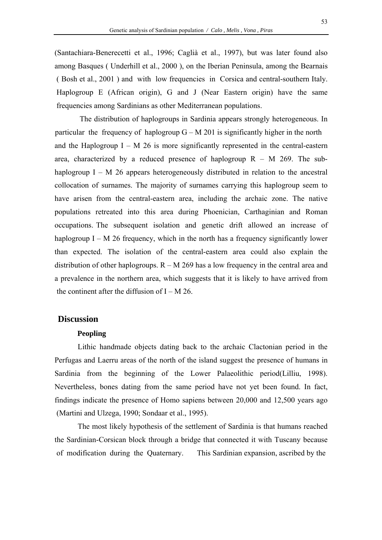(Santachiara-Benerecetti et al., 1996; Caglià et al., 1997), but was later found also among Basques ( Underhill et al., 2000 ), on the Iberian Peninsula, among the Bearnais ( Bosh et al., 2001 ) and with low frequencies in Corsica and central-southern Italy. Haplogroup E (African origin), G and J (Near Eastern origin) have the same frequencies among Sardinians as other Mediterranean populations.

 The distribution of haplogroups in Sardinia appears strongly heterogeneous. In particular the frequency of haplogroup  $G - M 201$  is significantly higher in the north and the Haplogroup  $I - M$  26 is more significantly represented in the central-eastern area, characterized by a reduced presence of haplogroup  $R - M$  269. The subhaplogroup I – M 26 appears heterogeneously distributed in relation to the ancestral collocation of surnames. The majority of surnames carrying this haplogroup seem to have arisen from the central-eastern area, including the archaic zone. The native populations retreated into this area during Phoenician, Carthaginian and Roman occupations. The subsequent isolation and genetic drift allowed an increase of haplogroup  $I - M 26$  frequency, which in the north has a frequency significantly lower than expected. The isolation of the central-eastern area could also explain the distribution of other haplogroups.  $R - M 269$  has a low frequency in the central area and a prevalence in the northern area, which suggests that it is likely to have arrived from the continent after the diffusion of  $I - M 26$ .

#### **Discussion**

#### **Peopling**

 Lithic handmade objects dating back to the archaic Clactonian period in the Perfugas and Laerru areas of the north of the island suggest the presence of humans in Sardinia from the beginning of the Lower Palaeolithic period(Lilliu, 1998). Nevertheless, bones dating from the same period have not yet been found. In fact, findings indicate the presence of Homo sapiens between 20,000 and 12,500 years ago (Martini and Ulzega, 1990; Sondaar et al., 1995).

 The most likely hypothesis of the settlement of Sardinia is that humans reached the Sardinian-Corsican block through a bridge that connected it with Tuscany because of modification during the Quaternary. This Sardinian expansion, ascribed by the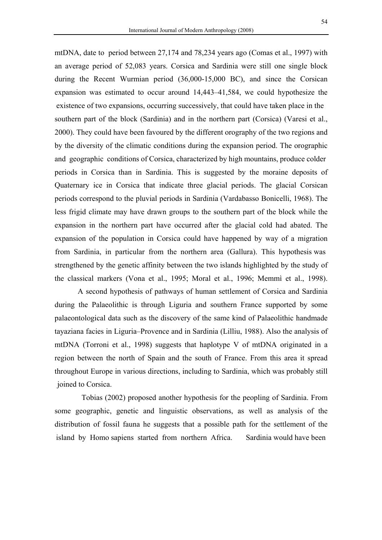mtDNA, date to period between 27,174 and 78,234 years ago (Comas et al., 1997) with an average period of 52,083 years. Corsica and Sardinia were still one single block during the Recent Wurmian period (36,000-15,000 BC), and since the Corsican expansion was estimated to occur around 14,443–41,584, we could hypothesize the existence of two expansions, occurring successively, that could have taken place in the southern part of the block (Sardinia) and in the northern part (Corsica) (Varesi et al., 2000). They could have been favoured by the different orography of the two regions and by the diversity of the climatic conditions during the expansion period. The orographic and geographic conditions of Corsica, characterized by high mountains, produce colder periods in Corsica than in Sardinia. This is suggested by the moraine deposits of Quaternary ice in Corsica that indicate three glacial periods. The glacial Corsican periods correspond to the pluvial periods in Sardinia (Vardabasso Bonicelli, 1968). The less frigid climate may have drawn groups to the southern part of the block while the expansion in the northern part have occurred after the glacial cold had abated. The expansion of the population in Corsica could have happened by way of a migration from Sardinia, in particular from the northern area (Gallura). This hypothesis was strengthened by the genetic affinity between the two islands highlighted by the study of

 A second hypothesis of pathways of human settlement of Corsica and Sardinia during the Palaeolithic is through Liguria and southern France supported by some palaeontological data such as the discovery of the same kind of Palaeolithic handmade tayaziana facies in Liguria–Provence and in Sardinia (Lilliu, 1988). Also the analysis of mtDNA (Torroni et al., 1998) suggests that haplotype V of mtDNA originated in a region between the north of Spain and the south of France. From this area it spread throughout Europe in various directions, including to Sardinia, which was probably still joined to Corsica.

the classical markers (Vona et al., 1995; Moral et al., 1996; Memmì et al., 1998).

 Tobias (2002) proposed another hypothesis for the peopling of Sardinia. From some geographic, genetic and linguistic observations, as well as analysis of the distribution of fossil fauna he suggests that a possible path for the settlement of the island by Homo sapiens started from northern Africa. Sardinia would have been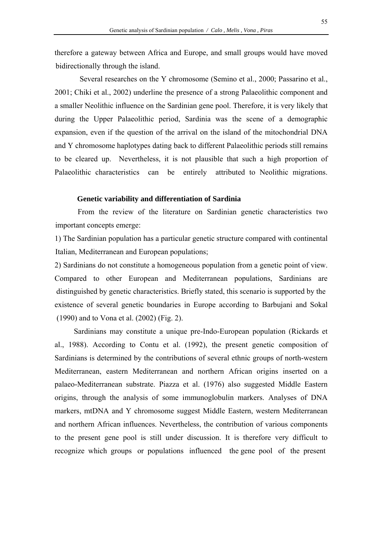therefore a gateway between Africa and Europe, and small groups would have moved bidirectionally through the island.

 Several researches on the Y chromosome (Semino et al., 2000; Passarino et al., 2001; Chiki et al., 2002) underline the presence of a strong Palaeolithic component and a smaller Neolithic influence on the Sardinian gene pool. Therefore, it is very likely that during the Upper Palaeolithic period, Sardinia was the scene of a demographic expansion, even if the question of the arrival on the island of the mitochondrial DNA and Y chromosome haplotypes dating back to different Palaeolithic periods still remains to be cleared up. Nevertheless, it is not plausible that such a high proportion of Palaeolithic characteristics can be entirely attributed to Neolithic migrations.

#### **Genetic variability and differentiation of Sardinia**

 From the review of the literature on Sardinian genetic characteristics two important concepts emerge:

1) The Sardinian population has a particular genetic structure compared with continental Italian, Mediterranean and European populations;

2) Sardinians do not constitute a homogeneous population from a genetic point of view. Compared to other European and Mediterranean populations, Sardinians are distinguished by genetic characteristics. Briefly stated, this scenario is supported by the existence of several genetic boundaries in Europe according to Barbujani and Sokal (1990) and to Vona et al. (2002) (Fig. 2).

 Sardinians may constitute a unique pre-Indo-European population (Rickards et al., 1988). According to Contu et al. (1992), the present genetic composition of Sardinians is determined by the contributions of several ethnic groups of north-western Mediterranean, eastern Mediterranean and northern African origins inserted on a palaeo-Mediterranean substrate. Piazza et al. (1976) also suggested Middle Eastern origins, through the analysis of some immunoglobulin markers. Analyses of DNA markers, mtDNA and Y chromosome suggest Middle Eastern, western Mediterranean and northern African influences. Nevertheless, the contribution of various components to the present gene pool is still under discussion. It is therefore very difficult to recognize which groups or populations influenced the gene pool of the present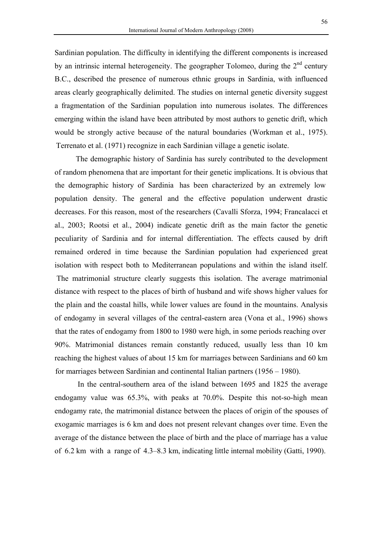Sardinian population. The difficulty in identifying the different components is increased by an intrinsic internal heterogeneity. The geographer Tolomeo, during the  $2<sup>nd</sup>$  century B.C., described the presence of numerous ethnic groups in Sardinia, with influenced areas clearly geographically delimited. The studies on internal genetic diversity suggest a fragmentation of the Sardinian population into numerous isolates. The differences emerging within the island have been attributed by most authors to genetic drift, which would be strongly active because of the natural boundaries (Workman et al., 1975). Terrenato et al. (1971) recognize in each Sardinian village a genetic isolate.

 The demographic history of Sardinia has surely contributed to the development of random phenomena that are important for their genetic implications. It is obvious that the demographic history of Sardinia has been characterized by an extremely low population density. The general and the effective population underwent drastic decreases. For this reason, most of the researchers (Cavalli Sforza, 1994; Francalacci et al., 2003; Rootsi et al., 2004) indicate genetic drift as the main factor the genetic peculiarity of Sardinia and for internal differentiation. The effects caused by drift remained ordered in time because the Sardinian population had experienced great isolation with respect both to Mediterranean populations and within the island itself. The matrimonial structure clearly suggests this isolation. The average matrimonial distance with respect to the places of birth of husband and wife shows higher values for the plain and the coastal hills, while lower values are found in the mountains. Analysis of endogamy in several villages of the central-eastern area (Vona et al., 1996) shows that the rates of endogamy from 1800 to 1980 were high, in some periods reaching over 90%. Matrimonial distances remain constantly reduced, usually less than 10 km reaching the highest values of about 15 km for marriages between Sardinians and 60 km for marriages between Sardinian and continental Italian partners (1956 – 1980).

 In the central-southern area of the island between 1695 and 1825 the average endogamy value was 65.3%, with peaks at 70.0%. Despite this not-so-high mean endogamy rate, the matrimonial distance between the places of origin of the spouses of exogamic marriages is 6 km and does not present relevant changes over time. Even the average of the distance between the place of birth and the place of marriage has a value of 6.2 km with a range of 4.3–8.3 km, indicating little internal mobility (Gatti, 1990).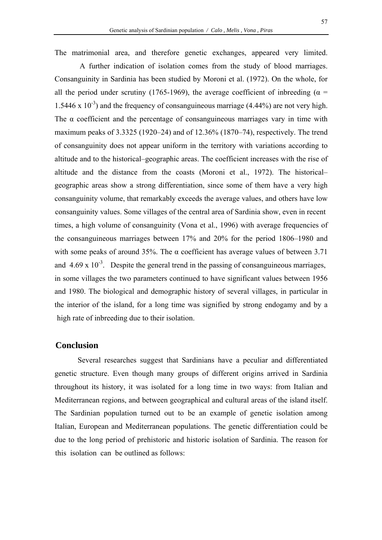The matrimonial area, and therefore genetic exchanges, appeared very limited.

 A further indication of isolation comes from the study of blood marriages. Consanguinity in Sardinia has been studied by Moroni et al. (1972). On the whole, for all the period under scrutiny (1765-1969), the average coefficient of inbreeding ( $\alpha$  = 1.5446 x  $10^{-3}$ ) and the frequency of consanguineous marriage (4.44%) are not very high. The  $\alpha$  coefficient and the percentage of consanguineous marriages vary in time with maximum peaks of 3.3325 (1920–24) and of 12.36% (1870–74), respectively. The trend of consanguinity does not appear uniform in the territory with variations according to altitude and to the historical–geographic areas. The coefficient increases with the rise of altitude and the distance from the coasts (Moroni et al., 1972). The historical– geographic areas show a strong differentiation, since some of them have a very high consanguinity volume, that remarkably exceeds the average values, and others have low consanguinity values. Some villages of the central area of Sardinia show, even in recent times, a high volume of consanguinity (Vona et al., 1996) with average frequencies of the consanguineous marriages between 17% and 20% for the period 1806–1980 and with some peaks of around 35%. The  $\alpha$  coefficient has average values of between 3.71 and  $4.69 \times 10^{-3}$ . Despite the general trend in the passing of consanguineous marriages, in some villages the two parameters continued to have significant values between 1956 and 1980. The biological and demographic history of several villages, in particular in the interior of the island, for a long time was signified by strong endogamy and by a high rate of inbreeding due to their isolation.

#### **Conclusion**

 Several researches suggest that Sardinians have a peculiar and differentiated genetic structure. Even though many groups of different origins arrived in Sardinia throughout its history, it was isolated for a long time in two ways: from Italian and Mediterranean regions, and between geographical and cultural areas of the island itself. The Sardinian population turned out to be an example of genetic isolation among Italian, European and Mediterranean populations. The genetic differentiation could be due to the long period of prehistoric and historic isolation of Sardinia. The reason for this isolation can be outlined as follows: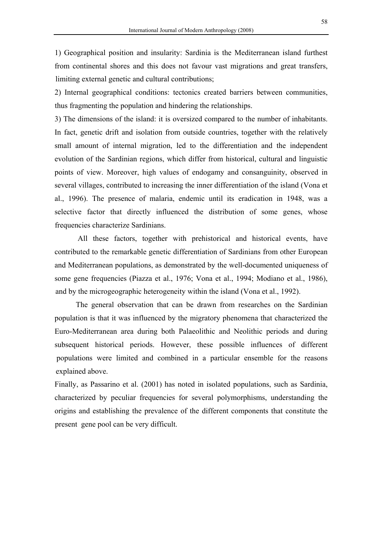1) Geographical position and insularity: Sardinia is the Mediterranean island furthest from continental shores and this does not favour vast migrations and great transfers, limiting external genetic and cultural contributions;

2) Internal geographical conditions: tectonics created barriers between communities, thus fragmenting the population and hindering the relationships.

3) The dimensions of the island: it is oversized compared to the number of inhabitants. In fact, genetic drift and isolation from outside countries, together with the relatively small amount of internal migration, led to the differentiation and the independent evolution of the Sardinian regions, which differ from historical, cultural and linguistic points of view. Moreover, high values of endogamy and consanguinity, observed in several villages, contributed to increasing the inner differentiation of the island (Vona et al., 1996). The presence of malaria, endemic until its eradication in 1948, was a selective factor that directly influenced the distribution of some genes, whose frequencies characterize Sardinians.

 All these factors, together with prehistorical and historical events, have contributed to the remarkable genetic differentiation of Sardinians from other European and Mediterranean populations, as demonstrated by the well-documented uniqueness of some gene frequencies (Piazza et al., 1976; Vona et al., 1994; Modiano et al., 1986), and by the microgeographic heterogeneity within the island (Vona et al., 1992).

 The general observation that can be drawn from researches on the Sardinian population is that it was influenced by the migratory phenomena that characterized the Euro-Mediterranean area during both Palaeolithic and Neolithic periods and during subsequent historical periods. However, these possible influences of different populations were limited and combined in a particular ensemble for the reasons explained above.

Finally, as Passarino et al. (2001) has noted in isolated populations, such as Sardinia, characterized by peculiar frequencies for several polymorphisms, understanding the origins and establishing the prevalence of the different components that constitute the present gene pool can be very difficult.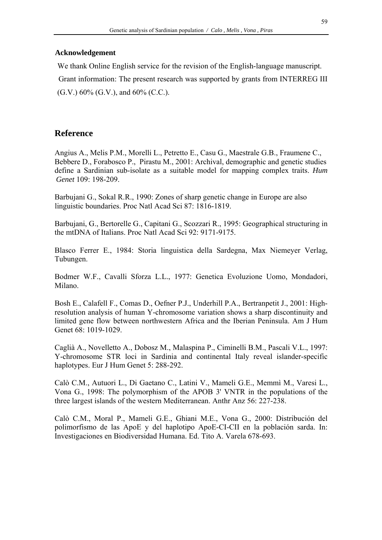## **Acknowledgement**

We thank Online English service for the revision of the English-language manuscript.

 Grant information: The present research was supported by grants from INTERREG III  $(G.V.) 60\% (G.V.)$ , and  $60\% (C.C.).$ 

## **Reference**

Angius A., Melis P.M., Morelli L., Petretto E., Casu G., Maestrale G.B., Fraumene C., Bebbere D., Forabosco P., Pirastu M., 2001: Archival, demographic and genetic studies define a Sardinian sub-isolate as a suitable model for mapping complex traits. *Hum Genet* 109: 198-209.

Barbujani G., Sokal R.R., 1990: Zones of sharp genetic change in Europe are also linguistic boundaries. Proc Natl Acad Sci 87: 1816-1819.

Barbujani, G., Bertorelle G., Capitani G., Scozzari R., 1995: Geographical structuring in the mtDNA of Italians. Proc Natl Acad Sci 92: 9171-9175.

Blasco Ferrer E., 1984: Storia linguistica della Sardegna, Max Niemeyer Verlag, Tubungen.

Bodmer W.F., Cavalli Sforza L.L., 1977: Genetica Evoluzione Uomo, Mondadori, Milano.

Bosh E., Calafell F., Comas D., Oefner P.J., Underhill P.A., Bertranpetit J., 2001: Highresolution analysis of human Y-chromosome variation shows a sharp discontinuity and limited gene flow between northwestern Africa and the Iberian Peninsula. Am J Hum Genet 68: 1019-1029.

Caglià A., Novelletto A., Dobosz M., Malaspina P., Ciminelli B.M., Pascali V.L., 1997: Y-chromosome STR loci in Sardinia and continental Italy reveal islander-specific haplotypes. Eur J Hum Genet 5: 288-292.

Calò C.M., Autuori L., Di Gaetano C., Latini V., Mameli G.E., Memmì M., Varesi L., Vona G., 1998: The polymorphism of the APOB 3' VNTR in the populations of the three largest islands of the western Mediterranean. Anthr Anz 56: 227-238.

Calò C.M., Moral P., Mameli G.E., Ghiani M.E., Vona G., 2000: Distribución del polimorfismo de las ApoE y del haplotipo ApoE-CI-CII en la población sarda. In: Investigaciones en Biodiversidad Humana. Ed. Tito A. Varela 678-693.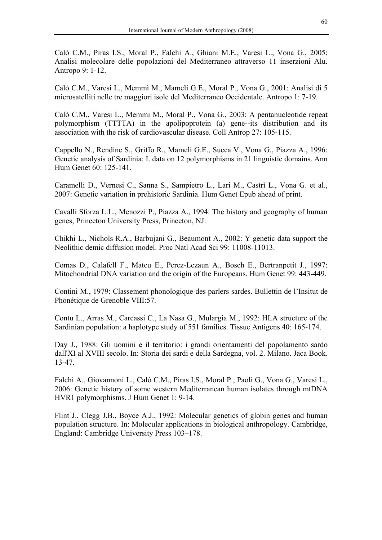Calò C.M., Piras I.S., Moral P., Falchi A., Ghiani M.E., Varesi L., Vona G., 2005: Analisi molecolare delle popolazioni del Mediterraneo attraverso 11 inserzioni Alu. Antropo 9: 1-12.

Calò C.M., Varesi L., Memmì M., Mameli G.E., Moral P., Vona G., 2001: Analisi di 5 microsatelliti nelle tre maggiori isole del Mediterraneo Occidentale. Antropo 1: 7-19.

Calò C.M., Varesi L., Memmi M., Moral P., Vona G., 2003: A pentanucleotide repeat polymorphism (TTTTA) in the apolipoprotein (a) gene--its distribution and its association with the risk of cardiovascular disease. Coll Antrop 27: 105-115.

Cappello N., Rendine S., Griffo R., Mameli G.E., Succa V., Vona G., Piazza A., 1996: Genetic analysis of Sardinia: I. data on 12 polymorphisms in 21 linguistic domains. Ann Hum Genet 60: 125-141.

Caramelli D., Vernesi C., Sanna S., Sampietro L., Lari M., Castrì L., Vona G. et al., 2007: Genetic variation in prehistoric Sardinia. Hum Genet Epub ahead of print.

Cavalli Sforza L.L., Menozzi P., Piazza A., 1994: The history and geography of human genes, Princeton University Press, Princeton, NJ.

Chikhi L., Nichols R.A., Barbujani G., Beaumont A., 2002: Y genetic data support the Neolithic demic diffusion model. Proc Natl Acad Sci 99: 11008-11013.

Comas D., Calafell F., Mateu E., Perez-Lezaun A., Bosch E., Bertranpetit J., 1997: Mitochondrial DNA variation and the origin of the Europeans. Hum Genet 99: 443-449.

Contini M., 1979: Classement phonologique des parlers sardes. Bullettin de l'Insitut de Phonétique de Grenoble VIII:57.

Contu L., Arras M., Carcassi C., La Nasa G., Mulargia M., 1992: HLA structure of the Sardinian population: a haplotype study of 551 families. Tissue Antigens 40: 165-174.

Day J., 1988: Gli uomini e il territorio: i grandi orientamenti del popolamento sardo dall'XI al XVIII secolo. In: Storia dei sardi e della Sardegna, vol. 2. Milano. Jaca Book. 13-47.

Falchi A., Giovannoni L., Calò C.M., Piras I.S., Moral P., Paoli G., Vona G., Varesi L., 2006: Genetic history of some western Mediterranean human isolates through mtDNA HVR1 polymorphisms. J Hum Genet 1: 9-14.

Flint J., Clegg J.B., Boyce A.J., 1992: Molecular genetics of globin genes and human population structure. In: Molecular applications in biological anthropology. Cambridge, England: Cambridge University Press 103–178.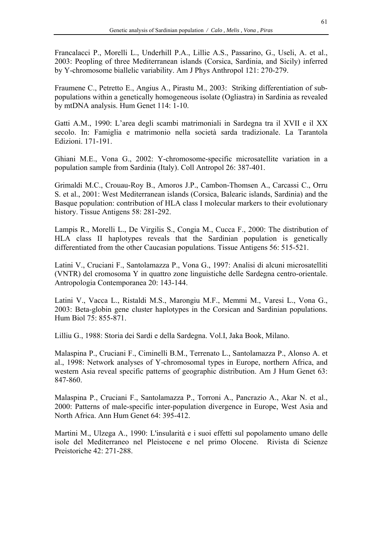Francalacci P., Morelli L., Underhill P.A., Lillie A.S., Passarino, G., Useli, A. et al., 2003: Peopling of three Mediterranean islands (Corsica, Sardinia, and Sicily) inferred by Y-chromosome biallelic variability. Am J Phys Anthropol 121: 270-279.

Fraumene C., Petretto E., Angius A., Pirastu M., 2003: Striking differentiation of subpopulations within a genetically homogeneous isolate (Ogliastra) in Sardinia as revealed by mtDNA analysis. Hum Genet 114: 1-10.

Gatti A.M., 1990: L'area degli scambi matrimoniali in Sardegna tra il XVII e il XX secolo. In: Famiglia e matrimonio nella società sarda tradizionale. La Tarantola Edizioni. 171-191.

Ghiani M.E., Vona G., 2002: Y-chromosome-specific microsatellite variation in a population sample from Sardinia (Italy). Coll Antropol 26: 387-401.

Grimaldi M.C., Crouau-Roy B., Amoros J.P., Cambon-Thomsen A., Carcassi C., Orru S. et al., 2001: West Mediterranean islands (Corsica, Balearic islands, Sardinia) and the Basque population: contribution of HLA class I molecular markers to their evolutionary history. Tissue Antigens 58: 281-292.

Lampis R., Morelli L., De Virgilis S., Congia M., Cucca F., 2000: The distribution of HLA class II haplotypes reveals that the Sardinian population is genetically differentiated from the other Caucasian populations. Tissue Antigens 56: 515-521.

Latini V., Cruciani F., Santolamazza P., Vona G., 1997: Analisi di alcuni microsatelliti (VNTR) del cromosoma Y in quattro zone linguistiche delle Sardegna centro-orientale. Antropologia Contemporanea 20: 143-144.

Latini V., Vacca L., Ristaldi M.S., Marongiu M.F., Memmi M., Varesi L., Vona G., 2003: Beta-globin gene cluster haplotypes in the Corsican and Sardinian populations. Hum Biol 75: 855-871.

Lilliu G., 1988: Storia dei Sardi e della Sardegna. Vol.I, Jaka Book, Milano.

Malaspina P., Cruciani F., Ciminelli B.M., Terrenato L., Santolamazza P., Alonso A. et al., 1998: Network analyses of Y-chromosomal types in Europe, northern Africa, and western Asia reveal specific patterns of geographic distribution. Am J Hum Genet 63: 847-860.

Malaspina P., Cruciani F., Santolamazza P., Torroni A., Pancrazio A., Akar N. et al., 2000: Patterns of male-specific inter-population divergence in Europe, West Asia and North Africa. Ann Hum Genet 64: 395-412.

Martini M., Ulzega A., 1990: L'insularità e i suoi effetti sul popolamento umano delle isole del Mediterraneo nel Pleistocene e nel primo Olocene. Rivista di Scienze Preistoriche 42: 271-288.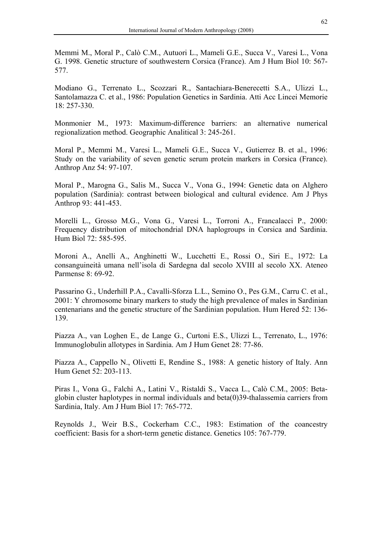Memmi M., Moral P., Calò C.M., Autuori L., Mameli G.E., Succa V., Varesi L., Vona G. 1998. Genetic structure of southwestern Corsica (France). Am J Hum Biol 10: 567- 577.

Modiano G., Terrenato L., Scozzari R., Santachiara-Benerecetti S.A., Ulizzi L., Santolamazza C. et al., 1986: Population Genetics in Sardinia. Atti Acc Lincei Memorie 18: 257-330.

Monmonier M., 1973: Maximum-difference barriers: an alternative numerical regionalization method. Geographic Analitical 3: 245-261.

Moral P., Memmi M., Varesi L., Mameli G.E., Succa V., Gutierrez B. et al., 1996: Study on the variability of seven genetic serum protein markers in Corsica (France). Anthrop Anz 54: 97-107.

Moral P., Marogna G., Salis M., Succa V., Vona G., 1994: Genetic data on Alghero population (Sardinia): contrast between biological and cultural evidence. Am J Phys Anthrop 93: 441-453.

Morelli L., Grosso M.G., Vona G., Varesi L., Torroni A., Francalacci P., 2000: Frequency distribution of mitochondrial DNA haplogroups in Corsica and Sardinia. Hum Biol 72: 585-595.

Moroni A., Anelli A., Anghinetti W., Lucchetti E., Rossi O., Siri E., 1972: La consanguineità umana nell'isola di Sardegna dal secolo XVIII al secolo XX. Ateneo Parmense 8: 69-92.

Passarino G., Underhill P.A., Cavalli-Sforza L.L., Semino O., Pes G.M., Carru C. et al., 2001: Y chromosome binary markers to study the high prevalence of males in Sardinian centenarians and the genetic structure of the Sardinian population. Hum Hered 52: 136- 139.

Piazza A., van Loghen E., de Lange G., Curtoni E.S., Ulizzi L., Terrenato, L., 1976: Immunoglobulin allotypes in Sardinia. Am J Hum Genet 28: 77-86.

Piazza A., Cappello N., Olivetti E, Rendine S., 1988: A genetic history of Italy. Ann Hum Genet 52: 203-113.

Piras I., Vona G., Falchi A., Latini V., Ristaldi S., Vacca L., Calò C.M., 2005: Betaglobin cluster haplotypes in normal individuals and beta(0)39-thalassemia carriers from Sardinia, Italy. Am J Hum Biol 17: 765-772.

Reynolds J., Weir B.S., Cockerham C.C., 1983: Estimation of the coancestry coefficient: Basis for a short-term genetic distance. Genetics 105: 767-779.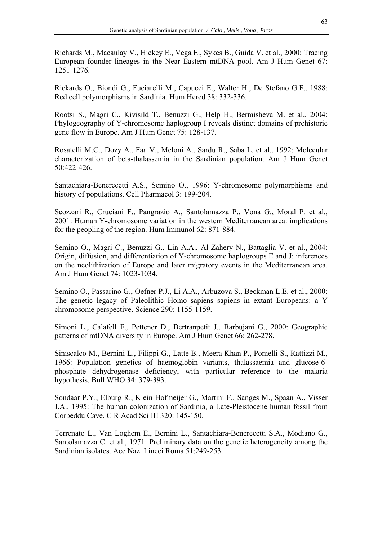Richards M., Macaulay V., Hickey E., Vega E., Sykes B., Guida V. et al., 2000: Tracing European founder lineages in the Near Eastern mtDNA pool. Am J Hum Genet 67: 1251-1276.

Rickards O., Biondi G., Fuciarelli M., Capucci E., Walter H., De Stefano G.F., 1988: Red cell polymorphisms in Sardinia. Hum Hered 38: 332-336.

Rootsi S., Magri C., Kivisild T., Benuzzi G., Help H., Bermisheva M. et al., 2004: Phylogeography of Y-chromosome haplogroup I reveals distinct domains of prehistoric gene flow in Europe. Am J Hum Genet 75: 128-137.

Rosatelli M.C., Dozy A., Faa V., Meloni A., Sardu R., Saba L. et al., 1992: Molecular characterization of beta-thalassemia in the Sardinian population. Am J Hum Genet 50:422-426.

Santachiara-Benerecetti A.S., Semino O., 1996: Y-chromosome polymorphisms and history of populations. Cell Pharmacol 3: 199-204.

Scozzari R., Cruciani F., Pangrazio A., Santolamazza P., Vona G., Moral P. et al., 2001: Human Y-chromosome variation in the western Mediterranean area: implications for the peopling of the region. Hum Immunol 62: 871-884.

Semino O., Magri C., Benuzzi G., Lin A.A., Al-Zahery N., Battaglia V. et al., 2004: Origin, diffusion, and differentiation of Y-chromosome haplogroups E and J: inferences on the neolithization of Europe and later migratory events in the Mediterranean area. Am J Hum Genet 74: 1023-1034.

Semino O., Passarino G., Oefner P.J., Li A.A., Arbuzova S., Beckman L.E. et al., 2000: The genetic legacy of Paleolithic Homo sapiens sapiens in extant Europeans: a Y chromosome perspective. Science 290: 1155-1159.

Simoni L., Calafell F., Pettener D., Bertranpetit J., Barbujani G., 2000: Geographic patterns of mtDNA diversity in Europe. Am J Hum Genet 66: 262-278.

Siniscalco M., Bernini L., Filippi G., Latte B., Meera Khan P., Pomelli S., Rattizzi M., 1966: Population genetics of haemoglobin variants, thalassaemia and glucose-6 phosphate dehydrogenase deficiency, with particular reference to the malaria hypothesis. Bull WHO 34: 379-393.

Sondaar P.Y., Elburg R., Klein Hofmeijer G., Martini F., Sanges M., Spaan A., Visser J.A., 1995: The human colonization of Sardinia, a Late-Pleistocene human fossil from Corbeddu Cave. C R Acad Sci III 320: 145-150.

Terrenato L., Van Loghem E., Bernini L., Santachiara-Benerecetti S.A., Modiano G., Santolamazza C. et al., 1971: Preliminary data on the genetic heterogeneity among the Sardinian isolates. Acc Naz. Lincei Roma 51:249-253.